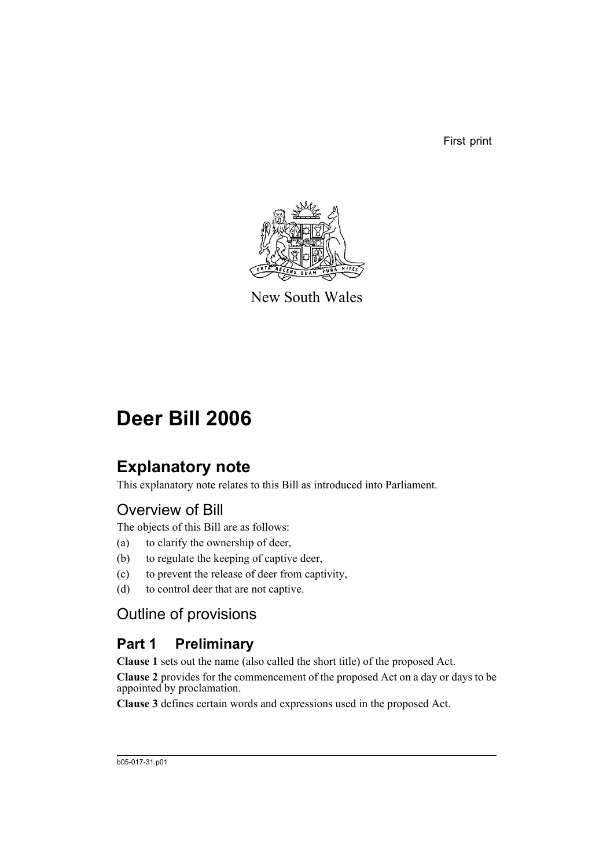First print



New South Wales

# **Deer Bill 2006**

## **Explanatory note**

This explanatory note relates to this Bill as introduced into Parliament.

## Overview of Bill

The objects of this Bill are as follows:

- (a) to clarify the ownership of deer,
- (b) to regulate the keeping of captive deer,
- (c) to prevent the release of deer from captivity,
- (d) to control deer that are not captive.

## Outline of provisions

## **Part 1 Preliminary**

**Clause 1** sets out the name (also called the short title) of the proposed Act.

**Clause 2** provides for the commencement of the proposed Act on a day or days to be appointed by proclamation.

**Clause 3** defines certain words and expressions used in the proposed Act.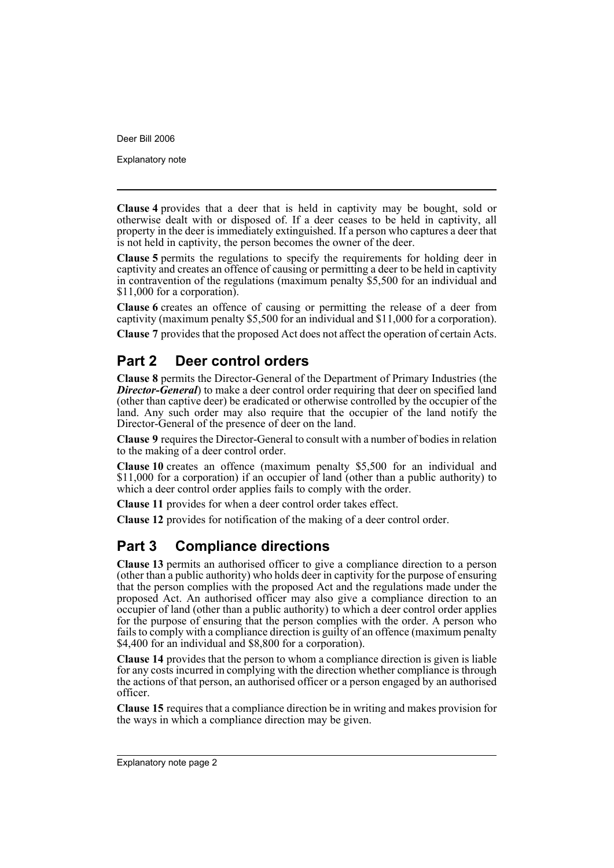Explanatory note

**Clause 4** provides that a deer that is held in captivity may be bought, sold or otherwise dealt with or disposed of. If a deer ceases to be held in captivity, all property in the deer is immediately extinguished. If a person who captures a deer that is not held in captivity, the person becomes the owner of the deer.

**Clause 5** permits the regulations to specify the requirements for holding deer in captivity and creates an offence of causing or permitting a deer to be held in captivity in contravention of the regulations (maximum penalty \$5,500 for an individual and \$11,000 for a corporation).

**Clause 6** creates an offence of causing or permitting the release of a deer from captivity (maximum penalty \$5,500 for an individual and \$11,000 for a corporation).

**Clause 7** provides that the proposed Act does not affect the operation of certain Acts.

## **Part 2 Deer control orders**

**Clause 8** permits the Director-General of the Department of Primary Industries (the *Director-General*) to make a deer control order requiring that deer on specified land (other than captive deer) be eradicated or otherwise controlled by the occupier of the land. Any such order may also require that the occupier of the land notify the Director-General of the presence of deer on the land.

**Clause 9** requires the Director-General to consult with a number of bodies in relation to the making of a deer control order.

**Clause 10** creates an offence (maximum penalty \$5,500 for an individual and \$11,000 for a corporation) if an occupier of land (other than a public authority) to which a deer control order applies fails to comply with the order.

**Clause 11** provides for when a deer control order takes effect.

**Clause 12** provides for notification of the making of a deer control order.

## **Part 3 Compliance directions**

**Clause 13** permits an authorised officer to give a compliance direction to a person (other than a public authority) who holds deer in captivity for the purpose of ensuring that the person complies with the proposed Act and the regulations made under the proposed Act. An authorised officer may also give a compliance direction to an occupier of land (other than a public authority) to which a deer control order applies for the purpose of ensuring that the person complies with the order. A person who fails to comply with a compliance direction is guilty of an offence (maximum penalty \$4,400 for an individual and \$8,800 for a corporation).

**Clause 14** provides that the person to whom a compliance direction is given is liable for any costs incurred in complying with the direction whether compliance is through the actions of that person, an authorised officer or a person engaged by an authorised officer.

**Clause 15** requires that a compliance direction be in writing and makes provision for the ways in which a compliance direction may be given.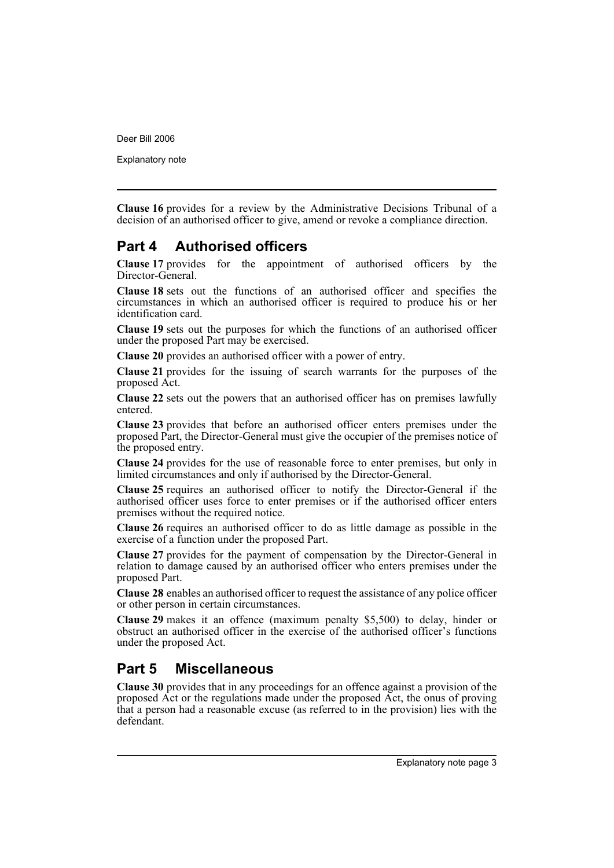Explanatory note

**Clause 16** provides for a review by the Administrative Decisions Tribunal of a decision of an authorised officer to give, amend or revoke a compliance direction.

## **Part 4 Authorised officers**

**Clause 17** provides for the appointment of authorised officers by the Director-General.

**Clause 18** sets out the functions of an authorised officer and specifies the circumstances in which an authorised officer is required to produce his or her identification card.

**Clause 19** sets out the purposes for which the functions of an authorised officer under the proposed Part may be exercised.

**Clause 20** provides an authorised officer with a power of entry.

**Clause 21** provides for the issuing of search warrants for the purposes of the proposed Act.

**Clause 22** sets out the powers that an authorised officer has on premises lawfully entered.

**Clause 23** provides that before an authorised officer enters premises under the proposed Part, the Director-General must give the occupier of the premises notice of the proposed entry.

**Clause 24** provides for the use of reasonable force to enter premises, but only in limited circumstances and only if authorised by the Director-General.

**Clause 25** requires an authorised officer to notify the Director-General if the authorised officer uses force to enter premises or if the authorised officer enters premises without the required notice.

**Clause 26** requires an authorised officer to do as little damage as possible in the exercise of a function under the proposed Part.

**Clause 27** provides for the payment of compensation by the Director-General in relation to damage caused by an authorised officer who enters premises under the proposed Part.

**Clause 28** enables an authorised officer to request the assistance of any police officer or other person in certain circumstances.

**Clause 29** makes it an offence (maximum penalty \$5,500) to delay, hinder or obstruct an authorised officer in the exercise of the authorised officer's functions under the proposed Act.

## **Part 5 Miscellaneous**

**Clause 30** provides that in any proceedings for an offence against a provision of the proposed Act or the regulations made under the proposed Act, the onus of proving that a person had a reasonable excuse (as referred to in the provision) lies with the defendant.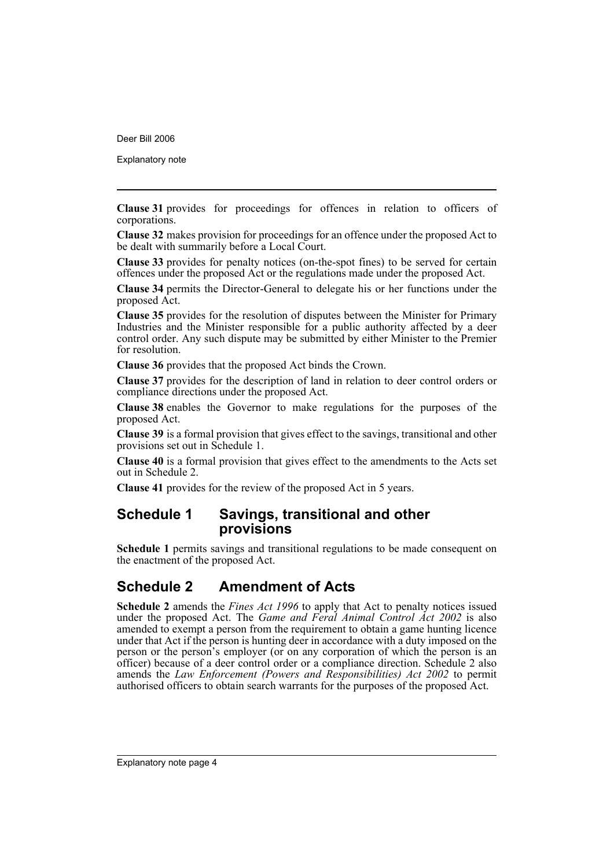Explanatory note

**Clause 31** provides for proceedings for offences in relation to officers of corporations.

**Clause 32** makes provision for proceedings for an offence under the proposed Act to be dealt with summarily before a Local Court.

**Clause 33** provides for penalty notices (on-the-spot fines) to be served for certain offences under the proposed Act or the regulations made under the proposed Act.

**Clause 34** permits the Director-General to delegate his or her functions under the proposed Act.

**Clause 35** provides for the resolution of disputes between the Minister for Primary Industries and the Minister responsible for a public authority affected by a deer control order. Any such dispute may be submitted by either Minister to the Premier for resolution.

**Clause 36** provides that the proposed Act binds the Crown.

**Clause 37** provides for the description of land in relation to deer control orders or compliance directions under the proposed Act.

**Clause 38** enables the Governor to make regulations for the purposes of the proposed Act.

**Clause 39** is a formal provision that gives effect to the savings, transitional and other provisions set out in Schedule 1.

**Clause 40** is a formal provision that gives effect to the amendments to the Acts set out in Schedule 2.

**Clause 41** provides for the review of the proposed Act in 5 years.

## **Schedule 1 Savings, transitional and other provisions**

**Schedule 1** permits savings and transitional regulations to be made consequent on the enactment of the proposed Act.

## **Schedule 2 Amendment of Acts**

**Schedule 2** amends the *Fines Act 1996* to apply that Act to penalty notices issued under the proposed Act. The *Game and Feral Animal Control Act 2002* is also amended to exempt a person from the requirement to obtain a game hunting licence under that Act if the person is hunting deer in accordance with a duty imposed on the person or the person's employer (or on any corporation of which the person is an officer) because of a deer control order or a compliance direction. Schedule 2 also amends the *Law Enforcement (Powers and Responsibilities) Act 2002* to permit authorised officers to obtain search warrants for the purposes of the proposed Act.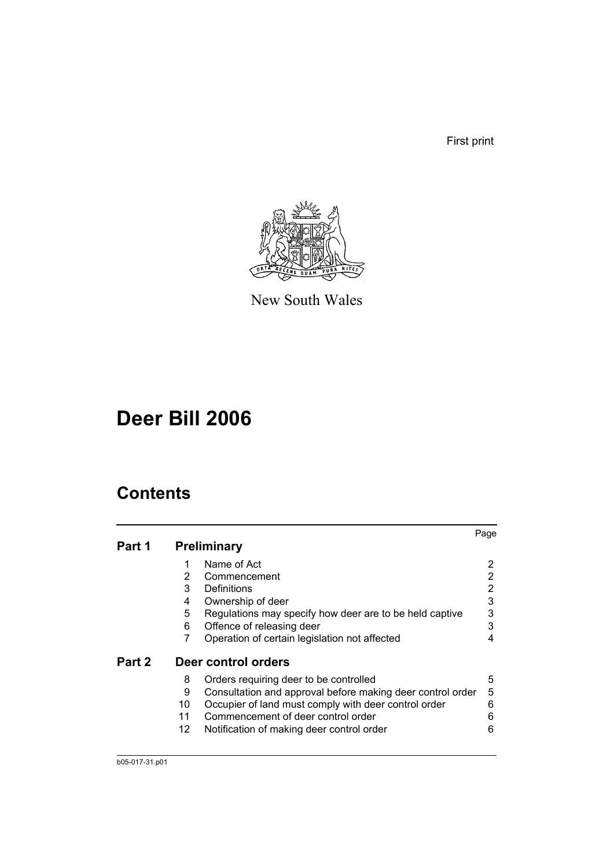First print



New South Wales

# **Deer Bill 2006**

## **Contents**

|        |     |                                                            | Page |
|--------|-----|------------------------------------------------------------|------|
| Part 1 |     | <b>Preliminary</b>                                         |      |
|        | 1   | Name of Act                                                |      |
|        | 2   | Commencement                                               | 2    |
|        | 3   | Definitions                                                | 2    |
|        | 4   | Ownership of deer                                          | 3    |
|        | 5   | Regulations may specify how deer are to be held captive    | 3    |
|        | 6   | Offence of releasing deer                                  | 3    |
|        | 7   | Operation of certain legislation not affected              | 4    |
| Part 2 |     | Deer control orders                                        |      |
|        | 8   | Orders requiring deer to be controlled                     | 5    |
|        | 9   | Consultation and approval before making deer control order | 5    |
|        | 10  | Occupier of land must comply with deer control order       | 6    |
|        | 11  | Commencement of deer control order                         | 6    |
|        | 12. | Notification of making deer control order                  | 6    |
|        |     |                                                            |      |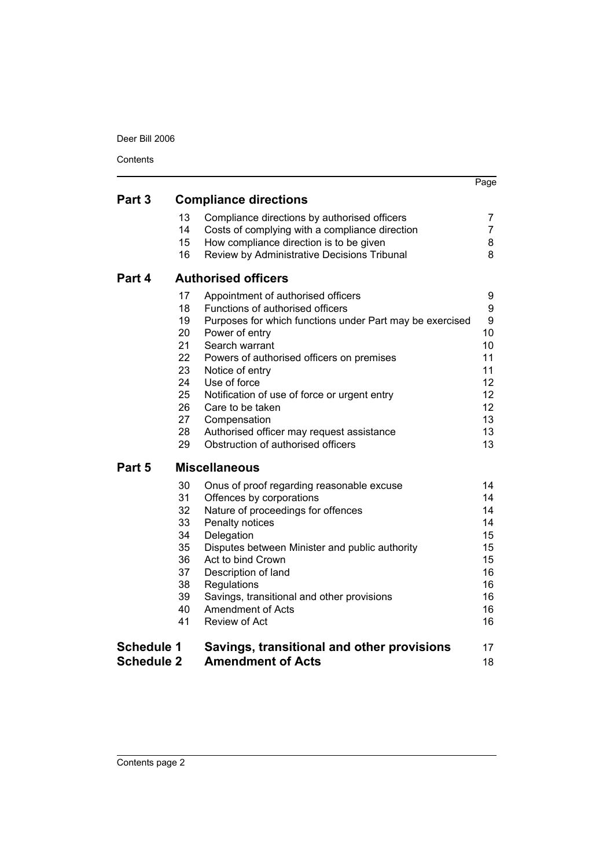Contents

|                   |    |                                                          | Page |
|-------------------|----|----------------------------------------------------------|------|
| Part 3            |    | <b>Compliance directions</b>                             |      |
|                   | 13 | Compliance directions by authorised officers             | 7    |
|                   | 14 | Costs of complying with a compliance direction           | 7    |
|                   | 15 | How compliance direction is to be given                  | 8    |
|                   | 16 | Review by Administrative Decisions Tribunal              | 8    |
| Part 4            |    | <b>Authorised officers</b>                               |      |
|                   | 17 | Appointment of authorised officers                       | 9    |
|                   | 18 | Functions of authorised officers                         | 9    |
|                   | 19 | Purposes for which functions under Part may be exercised | 9    |
|                   | 20 | Power of entry                                           | 10   |
|                   | 21 | Search warrant                                           | 10   |
|                   | 22 | Powers of authorised officers on premises                | 11   |
|                   | 23 | Notice of entry                                          | 11   |
|                   | 24 | Use of force                                             | 12   |
|                   | 25 | Notification of use of force or urgent entry             | 12   |
|                   | 26 | Care to be taken                                         | 12   |
|                   | 27 | Compensation                                             | 13   |
|                   | 28 | Authorised officer may request assistance                | 13   |
|                   | 29 | Obstruction of authorised officers                       | 13   |
| Part 5            |    | <b>Miscellaneous</b>                                     |      |
|                   | 30 | Onus of proof regarding reasonable excuse                | 14   |
|                   | 31 | Offences by corporations                                 | 14   |
|                   | 32 | Nature of proceedings for offences                       | 14   |
|                   | 33 | Penalty notices                                          | 14   |
|                   | 34 | Delegation                                               | 15   |
|                   | 35 | Disputes between Minister and public authority           | 15   |
|                   | 36 | Act to bind Crown                                        | 15   |
|                   | 37 | Description of land                                      | 16   |
|                   | 38 | Regulations                                              | 16   |
|                   | 39 | Savings, transitional and other provisions               | 16   |
|                   | 40 | <b>Amendment of Acts</b>                                 | 16   |
|                   | 41 | Review of Act                                            | 16   |
| <b>Schedule 1</b> |    | Savings, transitional and other provisions               | 17   |
| <b>Schedule 2</b> |    | <b>Amendment of Acts</b>                                 | 18   |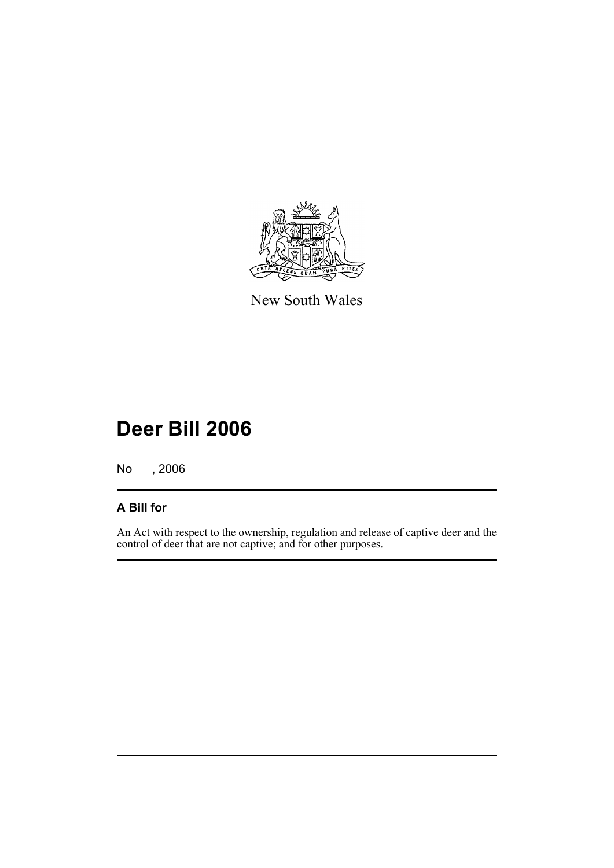

New South Wales

# **Deer Bill 2006**

No , 2006

## **A Bill for**

An Act with respect to the ownership, regulation and release of captive deer and the control of deer that are not captive; and for other purposes.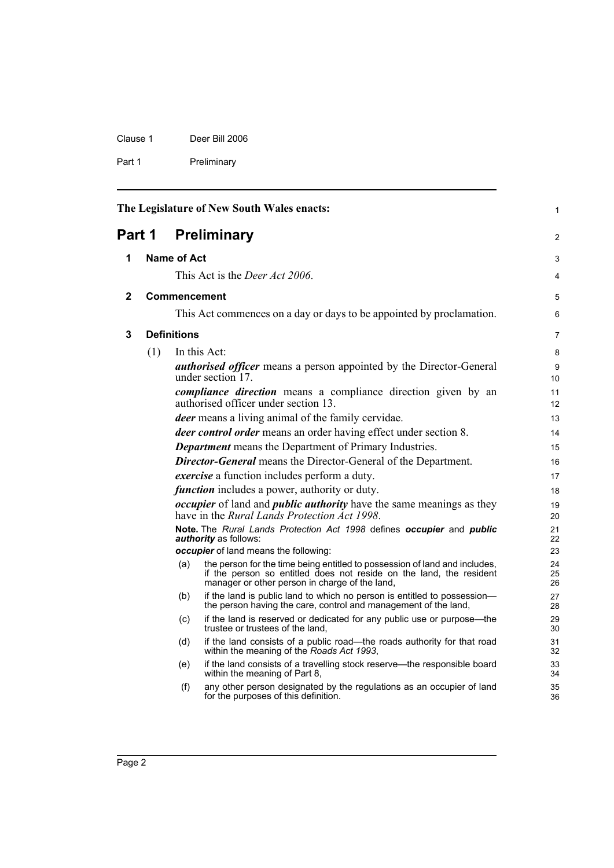| Clause 1 | Deer Bill 2006 |
|----------|----------------|
| Part 1   | Preliminary    |

<span id="page-7-3"></span><span id="page-7-2"></span><span id="page-7-1"></span><span id="page-7-0"></span>

| The Legislature of New South Wales enacts:<br>Preliminary<br>Part 1 |     |                    | $\mathbf{1}$                                                                                                                                                                                        |                |
|---------------------------------------------------------------------|-----|--------------------|-----------------------------------------------------------------------------------------------------------------------------------------------------------------------------------------------------|----------------|
|                                                                     |     |                    | 2                                                                                                                                                                                                   |                |
| 1                                                                   |     | <b>Name of Act</b> |                                                                                                                                                                                                     | 3              |
|                                                                     |     |                    | This Act is the <i>Deer Act 2006</i> .                                                                                                                                                              | 4              |
| 2                                                                   |     |                    | Commencement                                                                                                                                                                                        | 5              |
|                                                                     |     |                    | This Act commences on a day or days to be appointed by proclamation.                                                                                                                                | 6              |
| 3                                                                   |     | <b>Definitions</b> |                                                                                                                                                                                                     | 7              |
|                                                                     | (1) |                    | In this Act:                                                                                                                                                                                        | 8              |
|                                                                     |     |                    | authorised officer means a person appointed by the Director-General<br>under section 17.                                                                                                            | 9<br>10        |
|                                                                     |     |                    | <i>compliance direction</i> means a compliance direction given by an<br>authorised officer under section 13.                                                                                        | 11<br>12       |
|                                                                     |     |                    | deer means a living animal of the family cervidae.                                                                                                                                                  | 13             |
|                                                                     |     |                    | <i>deer control order</i> means an order having effect under section 8.                                                                                                                             | 14             |
|                                                                     |     |                    | <b>Department</b> means the Department of Primary Industries.                                                                                                                                       | 15             |
|                                                                     |     |                    | <b>Director-General</b> means the Director-General of the Department.                                                                                                                               | 16             |
|                                                                     |     |                    | <i>exercise</i> a function includes perform a duty.                                                                                                                                                 | 17             |
|                                                                     |     |                    | <i>function</i> includes a power, authority or duty.                                                                                                                                                | 18             |
|                                                                     |     |                    | <i>occupier</i> of land and <i>public authority</i> have the same meanings as they<br>have in the Rural Lands Protection Act 1998.                                                                  | 19<br>20       |
|                                                                     |     |                    | Note. The Rural Lands Protection Act 1998 defines occupier and public<br>authority as follows:                                                                                                      | 21<br>22       |
|                                                                     |     |                    | occupier of land means the following:                                                                                                                                                               | 23             |
|                                                                     |     | (a)                | the person for the time being entitled to possession of land and includes,<br>if the person so entitled does not reside on the land, the resident<br>manager or other person in charge of the land, | 24<br>25<br>26 |
|                                                                     |     | (b)                | if the land is public land to which no person is entitled to possession-<br>the person having the care, control and management of the land,                                                         | 27<br>28       |
|                                                                     |     | (c)                | if the land is reserved or dedicated for any public use or purpose-the<br>trustee or trustees of the land,                                                                                          | 29<br>30       |
|                                                                     |     | (d)                | if the land consists of a public road—the roads authority for that road<br>within the meaning of the Roads Act 1993,                                                                                | 31<br>32       |
|                                                                     |     | (e)                | if the land consists of a travelling stock reserve-the responsible board<br>within the meaning of Part 8,                                                                                           | 33<br>34       |
|                                                                     |     | (f)                | any other person designated by the regulations as an occupier of land<br>for the purposes of this definition.                                                                                       | 35<br>36       |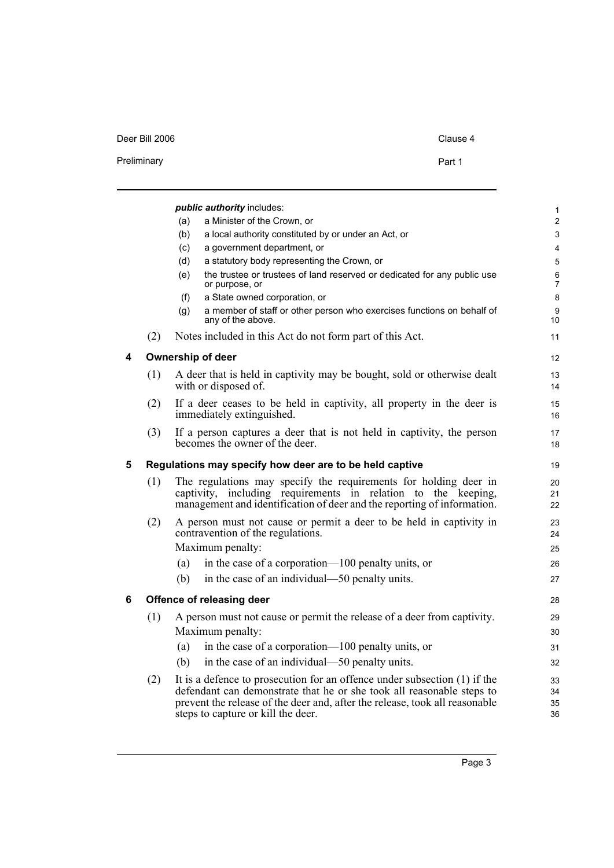#### Deer Bill 2006 Clause 4

| Preliminary | Part 1 |  |
|-------------|--------|--|
|             |        |  |

<span id="page-8-2"></span><span id="page-8-1"></span><span id="page-8-0"></span>

|   |     | public authority includes:                                                                                                                                                                                                                                              | 1                    |
|---|-----|-------------------------------------------------------------------------------------------------------------------------------------------------------------------------------------------------------------------------------------------------------------------------|----------------------|
|   |     | a Minister of the Crown, or<br>(a)                                                                                                                                                                                                                                      | $\overline{2}$       |
|   |     | a local authority constituted by or under an Act, or<br>(b)                                                                                                                                                                                                             | 3                    |
|   |     | a government department, or<br>(c)                                                                                                                                                                                                                                      | 4                    |
|   |     | a statutory body representing the Crown, or<br>(d)                                                                                                                                                                                                                      | 5                    |
|   |     | the trustee or trustees of land reserved or dedicated for any public use<br>(e)<br>or purpose, or                                                                                                                                                                       | 6<br>$\overline{7}$  |
|   |     | a State owned corporation, or<br>(f)                                                                                                                                                                                                                                    | 8                    |
|   |     | a member of staff or other person who exercises functions on behalf of<br>(g)<br>any of the above.                                                                                                                                                                      | 9<br>10              |
|   | (2) | Notes included in this Act do not form part of this Act.                                                                                                                                                                                                                | 11                   |
| 4 |     | <b>Ownership of deer</b>                                                                                                                                                                                                                                                | $12 \overline{ }$    |
|   | (1) | A deer that is held in captivity may be bought, sold or otherwise dealt<br>with or disposed of.                                                                                                                                                                         | 13<br>14             |
|   | (2) | If a deer ceases to be held in captivity, all property in the deer is<br>immediately extinguished.                                                                                                                                                                      | 15<br>16             |
|   | (3) | If a person captures a deer that is not held in captivity, the person<br>becomes the owner of the deer.                                                                                                                                                                 | 17<br>18             |
| 5 |     | Regulations may specify how deer are to be held captive                                                                                                                                                                                                                 | 19                   |
|   | (1) | The regulations may specify the requirements for holding deer in<br>captivity, including requirements in relation to<br>the keeping,<br>management and identification of deer and the reporting of information.                                                         | 20<br>21<br>22       |
|   | (2) | A person must not cause or permit a deer to be held in captivity in<br>contravention of the regulations.                                                                                                                                                                | 23<br>24             |
|   |     | Maximum penalty:                                                                                                                                                                                                                                                        | 25                   |
|   |     | in the case of a corporation—100 penalty units, or<br>(a)                                                                                                                                                                                                               | 26                   |
|   |     | in the case of an individual—50 penalty units.<br>(b)                                                                                                                                                                                                                   | 27                   |
| 6 |     | Offence of releasing deer                                                                                                                                                                                                                                               | 28                   |
|   | (1) | A person must not cause or permit the release of a deer from captivity.                                                                                                                                                                                                 | 29                   |
|   |     | Maximum penalty:                                                                                                                                                                                                                                                        | 30                   |
|   |     | in the case of a corporation—100 penalty units, or<br>(a)                                                                                                                                                                                                               | 31                   |
|   |     | in the case of an individual—50 penalty units.<br>(b)                                                                                                                                                                                                                   | 32                   |
|   | (2) | It is a defence to prosecution for an offence under subsection (1) if the<br>defendant can demonstrate that he or she took all reasonable steps to<br>prevent the release of the deer and, after the release, took all reasonable<br>steps to capture or kill the deer. | 33<br>34<br>35<br>36 |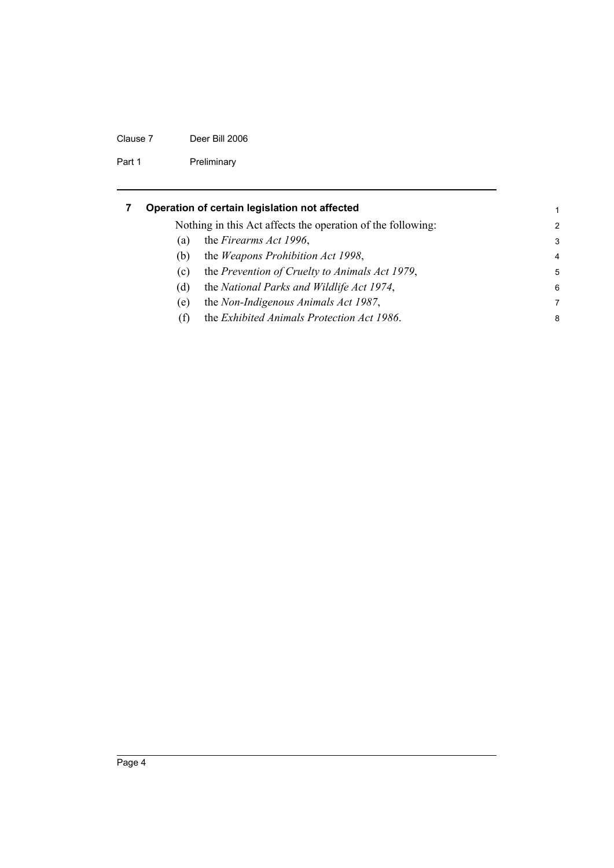#### Clause 7 Deer Bill 2006

Part 1 Preliminary

<span id="page-9-0"></span>

|     | Operation of certain legislation not affected               | 1              |
|-----|-------------------------------------------------------------|----------------|
|     | Nothing in this Act affects the operation of the following: | $\mathcal{P}$  |
| (a) | the Firearms Act 1996,                                      | 3              |
| (b) | the <i>Weapons Prohibition Act 1998</i> ,                   | $\overline{4}$ |
| (C) | the Prevention of Cruelty to Animals Act 1979,              | 5              |
| (d) | the National Parks and Wildlife Act 1974,                   | 6              |
| (e) | the Non-Indigenous Animals Act 1987,                        | 7              |
| (f) | the Exhibited Animals Protection Act 1986.                  | 8              |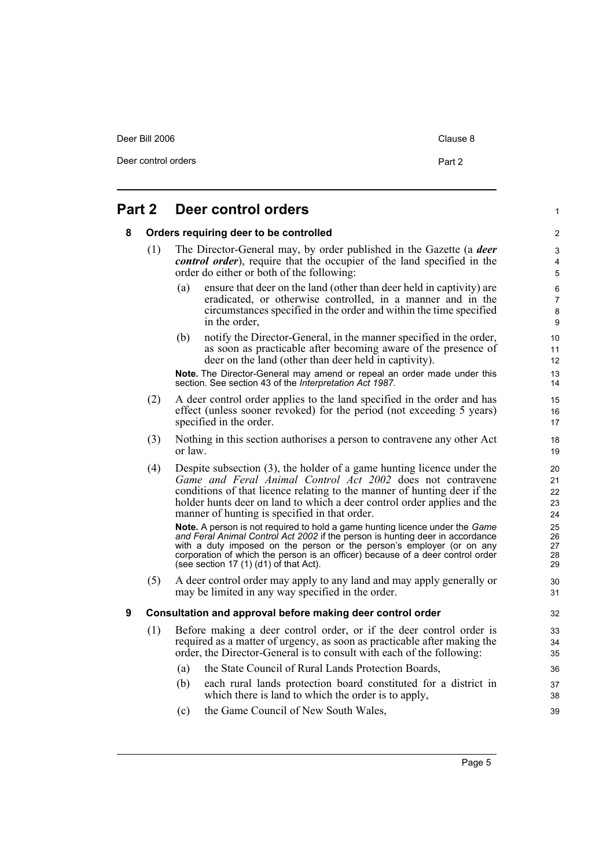| Deer Bill 2006 | Clause 8 |
|----------------|----------|
|                |          |

Deer control orders **Part 2** 

1

#### <span id="page-10-1"></span><span id="page-10-0"></span>**Part 2 Deer control orders 8 Orders requiring deer to be controlled** (1) The Director-General may, by order published in the Gazette (a *deer control order*), require that the occupier of the land specified in the order do either or both of the following: (a) ensure that deer on the land (other than deer held in captivity) are eradicated, or otherwise controlled, in a manner and in the circumstances specified in the order and within the time specified in the order, (b) notify the Director-General, in the manner specified in the order, as soon as practicable after becoming aware of the presence of deer on the land (other than deer held in captivity). **Note.** The Director-General may amend or repeal an order made under this section. See section 43 of the *Interpretation Act 1987*. (2) A deer control order applies to the land specified in the order and has effect (unless sooner revoked) for the period (not exceeding 5 years) specified in the order. (3) Nothing in this section authorises a person to contravene any other Act or law. (4) Despite subsection (3), the holder of a game hunting licence under the *Game and Feral Animal Control Act 2002* does not contravene conditions of that licence relating to the manner of hunting deer if the holder hunts deer on land to which a deer control order applies and the manner of hunting is specified in that order. **Note.** A person is not required to hold a game hunting licence under the *Game and Feral Animal Control Act 2002* if the person is hunting deer in accordance with a duty imposed on the person or the person's employer (or on any

corporation of which the person is an officer) because of a deer control order (see section 17 (1) (d1) of that Act).

(5) A deer control order may apply to any land and may apply generally or may be limited in any way specified in the order.

#### <span id="page-10-2"></span>**9 Consultation and approval before making deer control order**

- (1) Before making a deer control order, or if the deer control order is required as a matter of urgency, as soon as practicable after making the order, the Director-General is to consult with each of the following:
	- (a) the State Council of Rural Lands Protection Boards,
	- (b) each rural lands protection board constituted for a district in which there is land to which the order is to apply,
	- (c) the Game Council of New South Wales,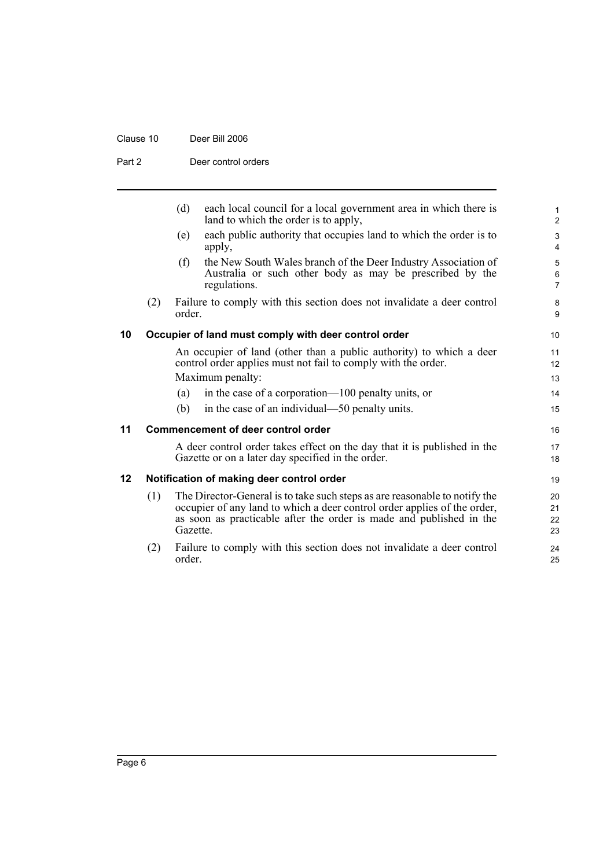#### Clause 10 Deer Bill 2006

Part 2 Deer control orders

<span id="page-11-2"></span><span id="page-11-1"></span><span id="page-11-0"></span>

|    |     | (d)<br>each local council for a local government area in which there is<br>land to which the order is to apply,                                                                                                                           | $\mathbf{1}$<br>$\overline{2}$   |
|----|-----|-------------------------------------------------------------------------------------------------------------------------------------------------------------------------------------------------------------------------------------------|----------------------------------|
|    |     | each public authority that occupies land to which the order is to<br>(e)<br>apply,                                                                                                                                                        | $\mathfrak{S}$<br>$\overline{4}$ |
|    |     | the New South Wales branch of the Deer Industry Association of<br>(f)<br>Australia or such other body as may be prescribed by the<br>regulations.                                                                                         | 5<br>6<br>$\overline{7}$         |
|    | (2) | Failure to comply with this section does not invalidate a deer control<br>order.                                                                                                                                                          | 8<br>9                           |
| 10 |     | Occupier of land must comply with deer control order                                                                                                                                                                                      | 10                               |
|    |     | An occupier of land (other than a public authority) to which a deer<br>control order applies must not fail to comply with the order.<br>Maximum penalty:                                                                                  | 11<br>12<br>13                   |
|    |     | in the case of a corporation—100 penalty units, or<br>(a)                                                                                                                                                                                 | 14                               |
|    |     | in the case of an individual—50 penalty units.<br>(b)                                                                                                                                                                                     | 15                               |
| 11 |     | <b>Commencement of deer control order</b>                                                                                                                                                                                                 | 16                               |
|    |     | A deer control order takes effect on the day that it is published in the<br>Gazette or on a later day specified in the order.                                                                                                             | 17<br>18                         |
| 12 |     | Notification of making deer control order                                                                                                                                                                                                 | 19                               |
|    | (1) | The Director-General is to take such steps as are reasonable to notify the<br>occupier of any land to which a deer control order applies of the order,<br>as soon as practicable after the order is made and published in the<br>Gazette. | 20<br>21<br>22<br>23             |
|    | (2) | Failure to comply with this section does not invalidate a deer control<br>order.                                                                                                                                                          | 24<br>25                         |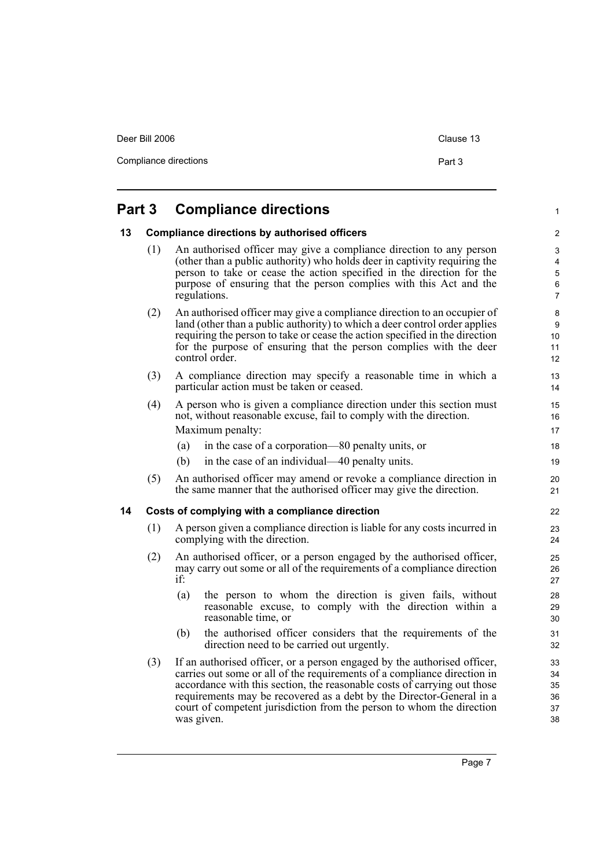| Deer Bill 2006        | Clause 13 |
|-----------------------|-----------|
| Compliance directions | Part 3    |
|                       |           |

## <span id="page-12-0"></span>**Part 3 Compliance directions**

#### <span id="page-12-1"></span>**13 Compliance directions by authorised officers**

- (1) An authorised officer may give a compliance direction to any person (other than a public authority) who holds deer in captivity requiring the person to take or cease the action specified in the direction for the purpose of ensuring that the person complies with this Act and the regulations.
- (2) An authorised officer may give a compliance direction to an occupier of land (other than a public authority) to which a deer control order applies requiring the person to take or cease the action specified in the direction for the purpose of ensuring that the person complies with the deer control order.
- (3) A compliance direction may specify a reasonable time in which a particular action must be taken or ceased.
- (4) A person who is given a compliance direction under this section must not, without reasonable excuse, fail to comply with the direction. Maximum penalty:
	- (a) in the case of a corporation—80 penalty units, or
	- (b) in the case of an individual—40 penalty units.
- (5) An authorised officer may amend or revoke a compliance direction in the same manner that the authorised officer may give the direction.

#### <span id="page-12-2"></span>**14 Costs of complying with a compliance direction**

- (1) A person given a compliance direction is liable for any costs incurred in complying with the direction.
- (2) An authorised officer, or a person engaged by the authorised officer, may carry out some or all of the requirements of a compliance direction if:
	- (a) the person to whom the direction is given fails, without reasonable excuse, to comply with the direction within a reasonable time, or
	- (b) the authorised officer considers that the requirements of the direction need to be carried out urgently.
- (3) If an authorised officer, or a person engaged by the authorised officer, carries out some or all of the requirements of a compliance direction in accordance with this section, the reasonable costs of carrying out those requirements may be recovered as a debt by the Director-General in a court of competent jurisdiction from the person to whom the direction was given.

1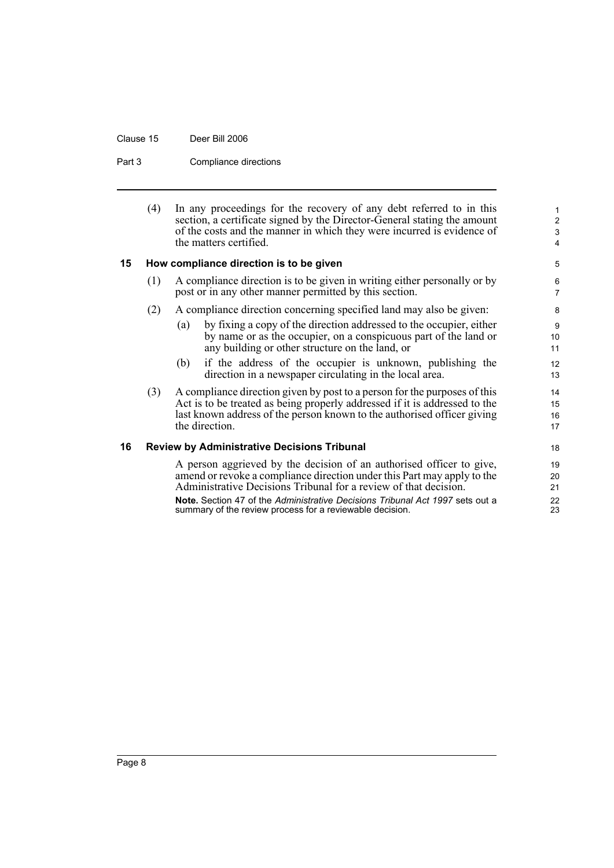Clause 15 Deer Bill 2006

Part 3 Compliance directions

| (4) | In any proceedings for the recovery of any debt referred to in this                              |
|-----|--------------------------------------------------------------------------------------------------|
|     | section, a certificate signed by the Director-General stating the amount                         |
|     | of the costs and the manner in which they were incurred is evidence of<br>the matters certified. |

#### <span id="page-13-0"></span>**15 How compliance direction is to be given**

- (1) A compliance direction is to be given in writing either personally or by post or in any other manner permitted by this section.
- (2) A compliance direction concerning specified land may also be given:
	- (a) by fixing a copy of the direction addressed to the occupier, either by name or as the occupier, on a conspicuous part of the land or any building or other structure on the land, or
	- (b) if the address of the occupier is unknown, publishing the direction in a newspaper circulating in the local area.
- (3) A compliance direction given by post to a person for the purposes of this Act is to be treated as being properly addressed if it is addressed to the last known address of the person known to the authorised officer giving the direction.

#### <span id="page-13-1"></span>**16 Review by Administrative Decisions Tribunal**

A person aggrieved by the decision of an authorised officer to give, amend or revoke a compliance direction under this Part may apply to the Administrative Decisions Tribunal for a review of that decision.

**Note.** Section 47 of the *Administrative Decisions Tribunal Act 1997* sets out a summary of the review process for a reviewable decision.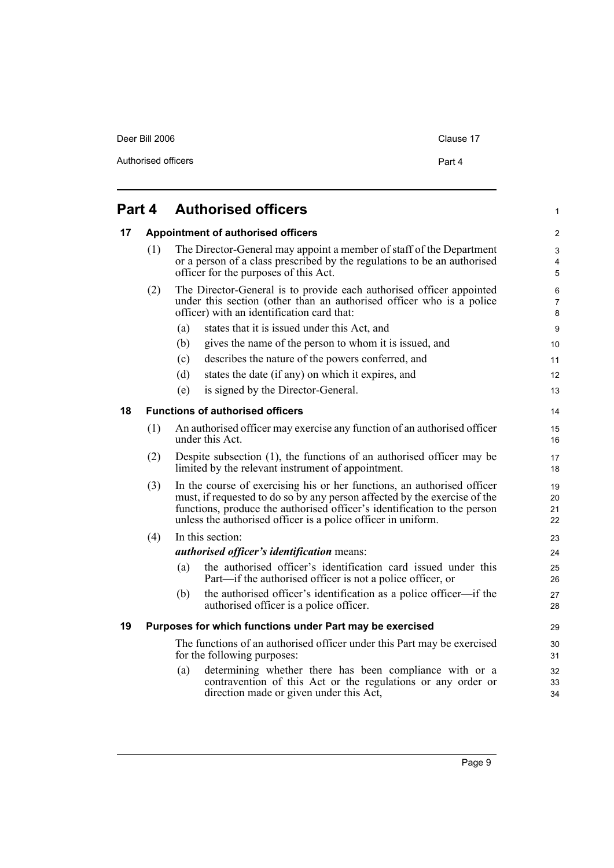Deer Bill 2006 Clause 17

#### <span id="page-14-3"></span><span id="page-14-2"></span><span id="page-14-1"></span><span id="page-14-0"></span>**Part 4 Authorised officers 17 Appointment of authorised officers** (1) The Director-General may appoint a member of staff of the Department or a person of a class prescribed by the regulations to be an authorised officer for the purposes of this Act. (2) The Director-General is to provide each authorised officer appointed under this section (other than an authorised officer who is a police officer) with an identification card that: (a) states that it is issued under this Act, and (b) gives the name of the person to whom it is issued, and (c) describes the nature of the powers conferred, and (d) states the date (if any) on which it expires, and (e) is signed by the Director-General. **18 Functions of authorised officers** (1) An authorised officer may exercise any function of an authorised officer under this Act. (2) Despite subsection (1), the functions of an authorised officer may be limited by the relevant instrument of appointment. (3) In the course of exercising his or her functions, an authorised officer must, if requested to do so by any person affected by the exercise of the functions, produce the authorised officer's identification to the person unless the authorised officer is a police officer in uniform. (4) In this section: *authorised officer's identification* means: (a) the authorised officer's identification card issued under this Part—if the authorised officer is not a police officer, or (b) the authorised officer's identification as a police officer—if the authorised officer is a police officer. **19 Purposes for which functions under Part may be exercised** The functions of an authorised officer under this Part may be exercised for the following purposes: (a) determining whether there has been compliance with or a contravention of this Act or the regulations or any order or direction made or given under this Act, 1  $\mathfrak{p}$ 3 4 5 6 7 8 **9** 10 11 12 13 14 15 16 17 18 19 20 21 22 23 24 25 26 27 28 29 30 31 32 33 34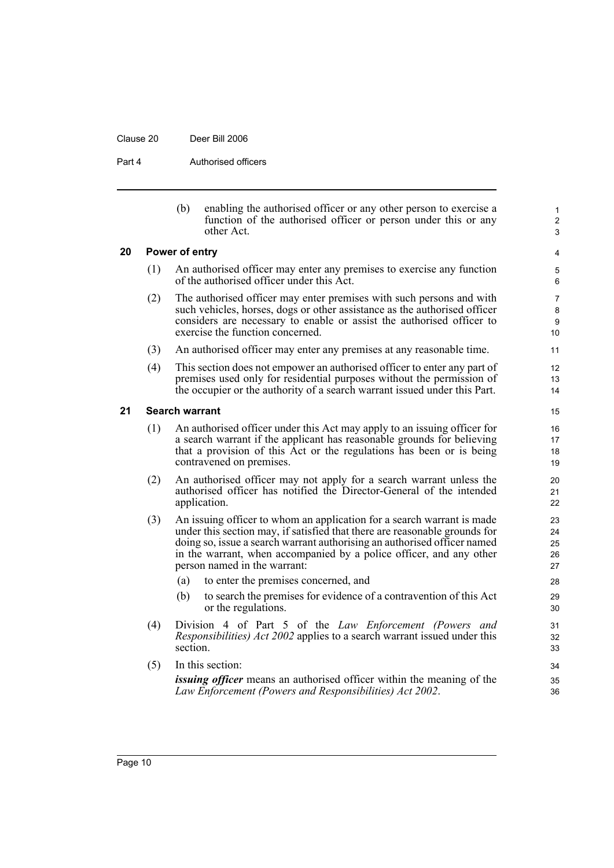#### Clause 20 Deer Bill 2006

Part 4 **Authorised officers** 

| (b) | enabling the authorised officer or any other person to exercise a |
|-----|-------------------------------------------------------------------|
|     | function of the authorised officer or person under this or any    |
|     | other Act.                                                        |

1 2 3

#### <span id="page-15-0"></span>**20 Power of entry**

- (1) An authorised officer may enter any premises to exercise any function of the authorised officer under this Act.
- (2) The authorised officer may enter premises with such persons and with such vehicles, horses, dogs or other assistance as the authorised officer considers are necessary to enable or assist the authorised officer to exercise the function concerned.
- (3) An authorised officer may enter any premises at any reasonable time.
- (4) This section does not empower an authorised officer to enter any part of premises used only for residential purposes without the permission of the occupier or the authority of a search warrant issued under this Part.

#### <span id="page-15-1"></span>**21 Search warrant**

- (1) An authorised officer under this Act may apply to an issuing officer for a search warrant if the applicant has reasonable grounds for believing that a provision of this Act or the regulations has been or is being contravened on premises.
- (2) An authorised officer may not apply for a search warrant unless the authorised officer has notified the Director-General of the intended application.
- (3) An issuing officer to whom an application for a search warrant is made under this section may, if satisfied that there are reasonable grounds for doing so, issue a search warrant authorising an authorised officer named in the warrant, when accompanied by a police officer, and any other person named in the warrant:
	- (a) to enter the premises concerned, and
	- (b) to search the premises for evidence of a contravention of this Act or the regulations.
- (4) Division 4 of Part 5 of the *Law Enforcement (Powers and Responsibilities) Act 2002* applies to a search warrant issued under this section.
- (5) In this section: *issuing officer* means an authorised officer within the meaning of the *Law Enforcement (Powers and Responsibilities) Act 2002*.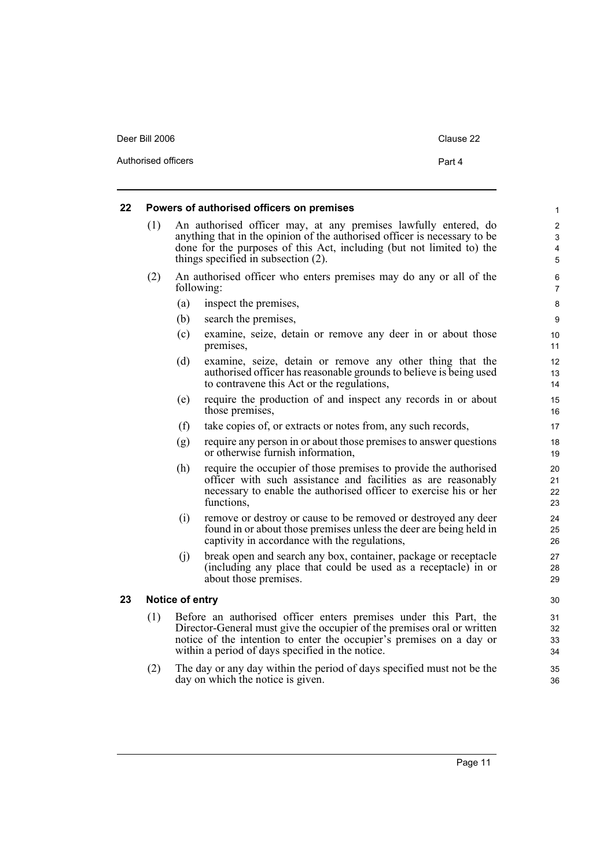| Deer Bill 2006      | Clause 22 |
|---------------------|-----------|
| Authorised officers | Part 4    |

#### <span id="page-16-0"></span>**22 Powers of authorised officers on premises**

- (1) An authorised officer may, at any premises lawfully entered, do anything that in the opinion of the authorised officer is necessary to be done for the purposes of this Act, including (but not limited to) the things specified in subsection (2).
- (2) An authorised officer who enters premises may do any or all of the following:
	- (a) inspect the premises,
	- (b) search the premises,
	- (c) examine, seize, detain or remove any deer in or about those premises,
	- (d) examine, seize, detain or remove any other thing that the authorised officer has reasonable grounds to believe is being used to contravene this Act or the regulations,
	- (e) require the production of and inspect any records in or about those premises,
	- (f) take copies of, or extracts or notes from, any such records,
	- (g) require any person in or about those premises to answer questions or otherwise furnish information,
	- (h) require the occupier of those premises to provide the authorised officer with such assistance and facilities as are reasonably necessary to enable the authorised officer to exercise his or her functions,
	- (i) remove or destroy or cause to be removed or destroyed any deer found in or about those premises unless the deer are being held in captivity in accordance with the regulations,
	- (j) break open and search any box, container, package or receptacle (including any place that could be used as a receptacle) in or about those premises.

#### <span id="page-16-1"></span>**23 Notice of entry**

- (1) Before an authorised officer enters premises under this Part, the Director-General must give the occupier of the premises oral or written notice of the intention to enter the occupier's premises on a day or within a period of days specified in the notice.
- (2) The day or any day within the period of days specified must not be the day on which the notice is given.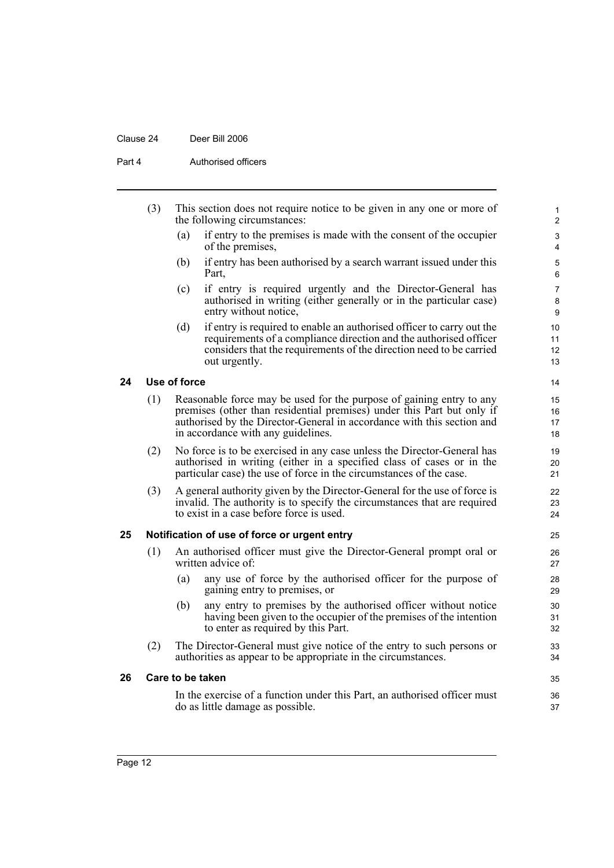#### Clause 24 Deer Bill 2006

Part 4 **Authorised officers** 

<span id="page-17-2"></span><span id="page-17-1"></span><span id="page-17-0"></span>

| (3)<br>the following circumstances: |     |              | This section does not require notice to be given in any one or more of                                                                                                                                                                                         | $\mathbf{1}$<br>2        |
|-------------------------------------|-----|--------------|----------------------------------------------------------------------------------------------------------------------------------------------------------------------------------------------------------------------------------------------------------------|--------------------------|
|                                     |     | (a)          | if entry to the premises is made with the consent of the occupier<br>of the premises,                                                                                                                                                                          | 3<br>4                   |
|                                     |     | (b)          | if entry has been authorised by a search warrant issued under this<br>Part,                                                                                                                                                                                    | $\sqrt{5}$<br>6          |
|                                     |     | (c)          | if entry is required urgently and the Director-General has<br>authorised in writing (either generally or in the particular case)<br>entry without notice,                                                                                                      | $\overline{7}$<br>8<br>9 |
|                                     |     | (d)          | if entry is required to enable an authorised officer to carry out the<br>requirements of a compliance direction and the authorised officer<br>considers that the requirements of the direction need to be carried<br>out urgently.                             | 10<br>11<br>12<br>13     |
| 24                                  |     | Use of force |                                                                                                                                                                                                                                                                | 14                       |
|                                     | (1) |              | Reasonable force may be used for the purpose of gaining entry to any<br>premises (other than residential premises) under this Part but only if<br>authorised by the Director-General in accordance with this section and<br>in accordance with any guidelines. | 15<br>16<br>17<br>18     |
|                                     | (2) |              | No force is to be exercised in any case unless the Director-General has<br>authorised in writing (either in a specified class of cases or in the<br>particular case) the use of force in the circumstances of the case.                                        | 19<br>20<br>21           |
|                                     | (3) |              | A general authority given by the Director-General for the use of force is<br>invalid. The authority is to specify the circumstances that are required<br>to exist in a case before force is used.                                                              | 22<br>23<br>24           |
| 25                                  |     |              | Notification of use of force or urgent entry                                                                                                                                                                                                                   | 25                       |
|                                     | (1) |              | An authorised officer must give the Director-General prompt oral or<br>written advice of:                                                                                                                                                                      | 26<br>27                 |
|                                     |     | (a)          | any use of force by the authorised officer for the purpose of<br>gaining entry to premises, or                                                                                                                                                                 | 28<br>29                 |
|                                     |     | (b)          | any entry to premises by the authorised officer without notice<br>having been given to the occupier of the premises of the intention<br>to enter as required by this Part.                                                                                     | 30<br>31<br>32           |
|                                     | (2) |              | The Director-General must give notice of the entry to such persons or<br>authorities as appear to be appropriate in the circumstances.                                                                                                                         | 33<br>34                 |
| 26                                  |     |              | Care to be taken                                                                                                                                                                                                                                               | 35                       |
|                                     |     |              | In the exercise of a function under this Part, an authorised officer must<br>do as little damage as possible.                                                                                                                                                  | 36<br>37                 |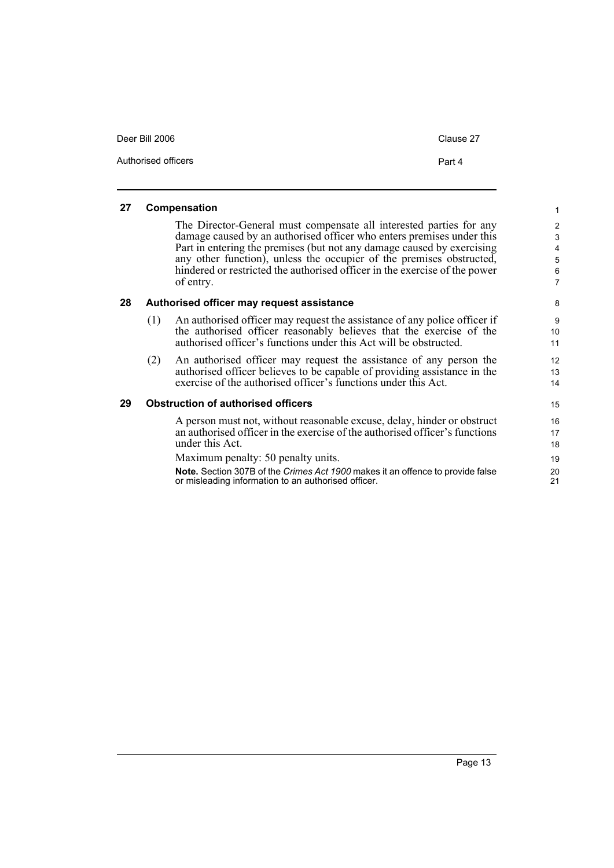| Deer Bill 2006      | Clause 27 |
|---------------------|-----------|
| Authorised officers | Part 4    |

#### <span id="page-18-0"></span>**27 Compensation**

The Director-General must compensate all interested parties for any damage caused by an authorised officer who enters premises under this Part in entering the premises (but not any damage caused by exercising any other function), unless the occupier of the premises obstructed, hindered or restricted the authorised officer in the exercise of the power of entry.

#### <span id="page-18-1"></span>**28 Authorised officer may request assistance**

- (1) An authorised officer may request the assistance of any police officer if the authorised officer reasonably believes that the exercise of the authorised officer's functions under this Act will be obstructed.
- (2) An authorised officer may request the assistance of any person the authorised officer believes to be capable of providing assistance in the exercise of the authorised officer's functions under this Act.

#### <span id="page-18-2"></span>**29 Obstruction of authorised officers**

A person must not, without reasonable excuse, delay, hinder or obstruct an authorised officer in the exercise of the authorised officer's functions under this Act.

Maximum penalty: 50 penalty units.

**Note.** Section 307B of the *Crimes Act 1900* makes it an offence to provide false or misleading information to an authorised officer.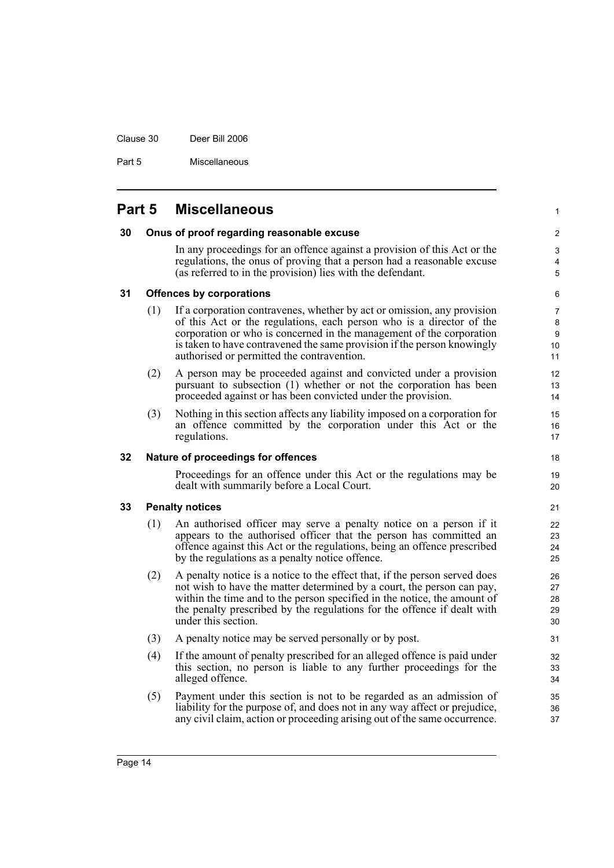Clause 30 Deer Bill 2006

Part 5 Miscellaneous

## <span id="page-19-1"></span><span id="page-19-0"></span>**Part 5 Miscellaneous**

#### **30 Onus of proof regarding reasonable excuse**

In any proceedings for an offence against a provision of this Act or the regulations, the onus of proving that a person had a reasonable excuse (as referred to in the provision) lies with the defendant.

5 6

18 19  $20$ 

1

 $\mathfrak{p}$ 3 4

#### <span id="page-19-2"></span>**31 Offences by corporations**

- (1) If a corporation contravenes, whether by act or omission, any provision of this Act or the regulations, each person who is a director of the corporation or who is concerned in the management of the corporation is taken to have contravened the same provision if the person knowingly authorised or permitted the contravention.
- (2) A person may be proceeded against and convicted under a provision pursuant to subsection (1) whether or not the corporation has been proceeded against or has been convicted under the provision.
- (3) Nothing in this section affects any liability imposed on a corporation for an offence committed by the corporation under this Act or the regulations.

#### <span id="page-19-3"></span>**32 Nature of proceedings for offences**

Proceedings for an offence under this Act or the regulations may be dealt with summarily before a Local Court.

#### <span id="page-19-4"></span>**33 Penalty notices**

- (1) An authorised officer may serve a penalty notice on a person if it appears to the authorised officer that the person has committed an offence against this Act or the regulations, being an offence prescribed by the regulations as a penalty notice offence.
- (2) A penalty notice is a notice to the effect that, if the person served does not wish to have the matter determined by a court, the person can pay, within the time and to the person specified in the notice, the amount of the penalty prescribed by the regulations for the offence if dealt with under this section.
- (3) A penalty notice may be served personally or by post.
- (4) If the amount of penalty prescribed for an alleged offence is paid under this section, no person is liable to any further proceedings for the alleged offence.
- (5) Payment under this section is not to be regarded as an admission of liability for the purpose of, and does not in any way affect or prejudice, any civil claim, action or proceeding arising out of the same occurrence.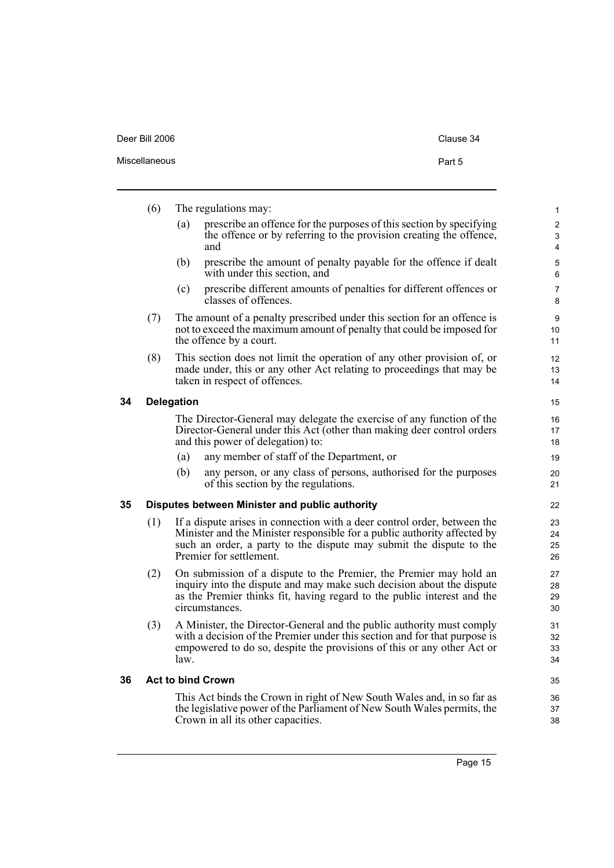| Deer Bill 2006 | Clause 34 |
|----------------|-----------|
| Miscellaneous  | Part 5    |

<span id="page-20-2"></span><span id="page-20-1"></span><span id="page-20-0"></span>

|    | (6)                                                                                                                                                                                |                                                                                                                                                                                                                                                        | The regulations may:                                                                                                                                                                                                                     | $\mathbf{1}$             |
|----|------------------------------------------------------------------------------------------------------------------------------------------------------------------------------------|--------------------------------------------------------------------------------------------------------------------------------------------------------------------------------------------------------------------------------------------------------|------------------------------------------------------------------------------------------------------------------------------------------------------------------------------------------------------------------------------------------|--------------------------|
|    |                                                                                                                                                                                    | (a)                                                                                                                                                                                                                                                    | prescribe an offence for the purposes of this section by specifying<br>the offence or by referring to the provision creating the offence,<br>and                                                                                         | $\overline{c}$<br>3<br>4 |
|    |                                                                                                                                                                                    | (b)                                                                                                                                                                                                                                                    | prescribe the amount of penalty payable for the offence if dealt<br>with under this section, and                                                                                                                                         | 5<br>6                   |
|    |                                                                                                                                                                                    | (c)                                                                                                                                                                                                                                                    | prescribe different amounts of penalties for different offences or<br>classes of offences.                                                                                                                                               | $\overline{7}$<br>8      |
|    | The amount of a penalty prescribed under this section for an offence is<br>(7)<br>not to exceed the maximum amount of penalty that could be imposed for<br>the offence by a court. |                                                                                                                                                                                                                                                        | 9<br>10<br>11                                                                                                                                                                                                                            |                          |
|    | (8)                                                                                                                                                                                |                                                                                                                                                                                                                                                        | This section does not limit the operation of any other provision of, or<br>made under, this or any other Act relating to proceedings that may be<br>taken in respect of offences.                                                        | 12<br>13<br>14           |
| 34 |                                                                                                                                                                                    | <b>Delegation</b>                                                                                                                                                                                                                                      |                                                                                                                                                                                                                                          | 15                       |
|    |                                                                                                                                                                                    |                                                                                                                                                                                                                                                        | The Director-General may delegate the exercise of any function of the<br>Director-General under this Act (other than making deer control orders<br>and this power of delegation) to:                                                     | 16<br>17<br>18           |
|    |                                                                                                                                                                                    | (a)                                                                                                                                                                                                                                                    | any member of staff of the Department, or                                                                                                                                                                                                | 19                       |
|    |                                                                                                                                                                                    | (b)                                                                                                                                                                                                                                                    | any person, or any class of persons, authorised for the purposes<br>of this section by the regulations.                                                                                                                                  | 20<br>21                 |
| 35 |                                                                                                                                                                                    |                                                                                                                                                                                                                                                        | Disputes between Minister and public authority                                                                                                                                                                                           | 22                       |
|    | (1)                                                                                                                                                                                | If a dispute arises in connection with a deer control order, between the<br>Minister and the Minister responsible for a public authority affected by<br>such an order, a party to the dispute may submit the dispute to the<br>Premier for settlement. |                                                                                                                                                                                                                                          |                          |
|    | (2)                                                                                                                                                                                |                                                                                                                                                                                                                                                        | On submission of a dispute to the Premier, the Premier may hold an<br>inquiry into the dispute and may make such decision about the dispute<br>as the Premier thinks fit, having regard to the public interest and the<br>circumstances. | 27<br>28<br>29<br>30     |
|    | (3)                                                                                                                                                                                | law.                                                                                                                                                                                                                                                   | A Minister, the Director-General and the public authority must comply<br>with a decision of the Premier under this section and for that purpose is<br>empowered to do so, despite the provisions of this or any other Act or             | 31<br>32<br>33<br>34     |
| 36 |                                                                                                                                                                                    |                                                                                                                                                                                                                                                        | <b>Act to bind Crown</b>                                                                                                                                                                                                                 | 35                       |
|    |                                                                                                                                                                                    |                                                                                                                                                                                                                                                        | This Act binds the Crown in right of New South Wales and, in so far as<br>the legislative power of the Parliament of New South Wales permits, the<br>Crown in all its other capacities.                                                  | 36<br>37<br>38           |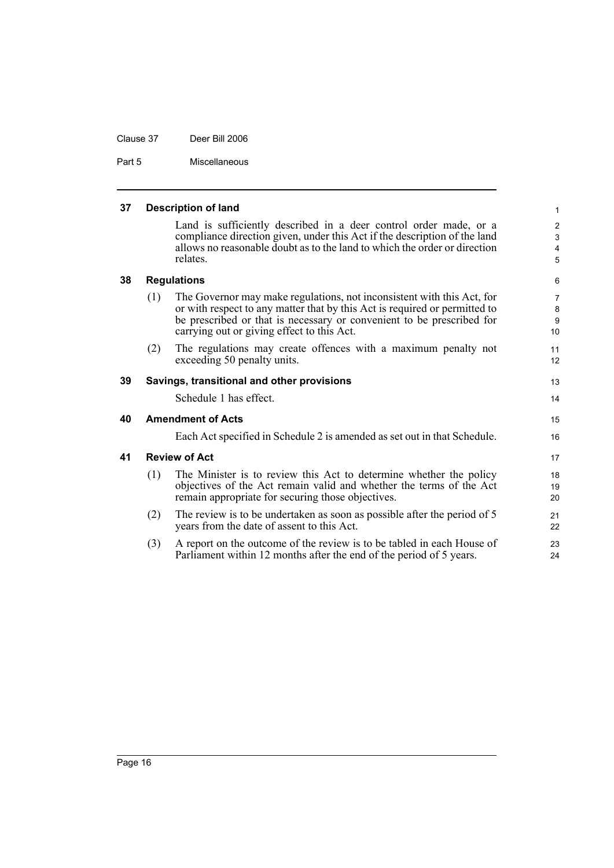Part 5 Miscellaneous

<span id="page-21-4"></span><span id="page-21-3"></span><span id="page-21-2"></span><span id="page-21-1"></span><span id="page-21-0"></span>

| 37 | <b>Description of land</b><br>$\mathbf{1}$ |                                                                                                                                                                                                                                                                             |                                                     |  |
|----|--------------------------------------------|-----------------------------------------------------------------------------------------------------------------------------------------------------------------------------------------------------------------------------------------------------------------------------|-----------------------------------------------------|--|
|    |                                            | Land is sufficiently described in a deer control order made, or a<br>compliance direction given, under this Act if the description of the land<br>allows no reasonable doubt as to the land to which the order or direction<br>relates.                                     | $\overline{2}$<br>3<br>4<br>5                       |  |
| 38 |                                            | <b>Regulations</b>                                                                                                                                                                                                                                                          | 6                                                   |  |
|    | (1)                                        | The Governor may make regulations, not inconsistent with this Act, for<br>or with respect to any matter that by this Act is required or permitted to<br>be prescribed or that is necessary or convenient to be prescribed for<br>carrying out or giving effect to this Act. | $\overline{7}$<br>$\bf 8$<br>$\boldsymbol{9}$<br>10 |  |
|    | (2)                                        | The regulations may create offences with a maximum penalty not<br>exceeding 50 penalty units.                                                                                                                                                                               | 11<br>12                                            |  |
| 39 |                                            | Savings, transitional and other provisions                                                                                                                                                                                                                                  | 13                                                  |  |
|    |                                            | Schedule 1 has effect.                                                                                                                                                                                                                                                      | 14                                                  |  |
| 40 |                                            | <b>Amendment of Acts</b>                                                                                                                                                                                                                                                    | 15                                                  |  |
|    |                                            | Each Act specified in Schedule 2 is amended as set out in that Schedule.                                                                                                                                                                                                    | 16                                                  |  |
| 41 |                                            | <b>Review of Act</b>                                                                                                                                                                                                                                                        | 17                                                  |  |
|    | (1)                                        | The Minister is to review this Act to determine whether the policy<br>objectives of the Act remain valid and whether the terms of the Act<br>remain appropriate for securing those objectives.                                                                              | 18<br>19<br>20                                      |  |
|    | (2)                                        | The review is to be undertaken as soon as possible after the period of 5<br>years from the date of assent to this Act.                                                                                                                                                      | 21<br>22                                            |  |
|    | (3)                                        | A report on the outcome of the review is to be tabled in each House of<br>Parliament within 12 months after the end of the period of 5 years.                                                                                                                               | 23<br>24                                            |  |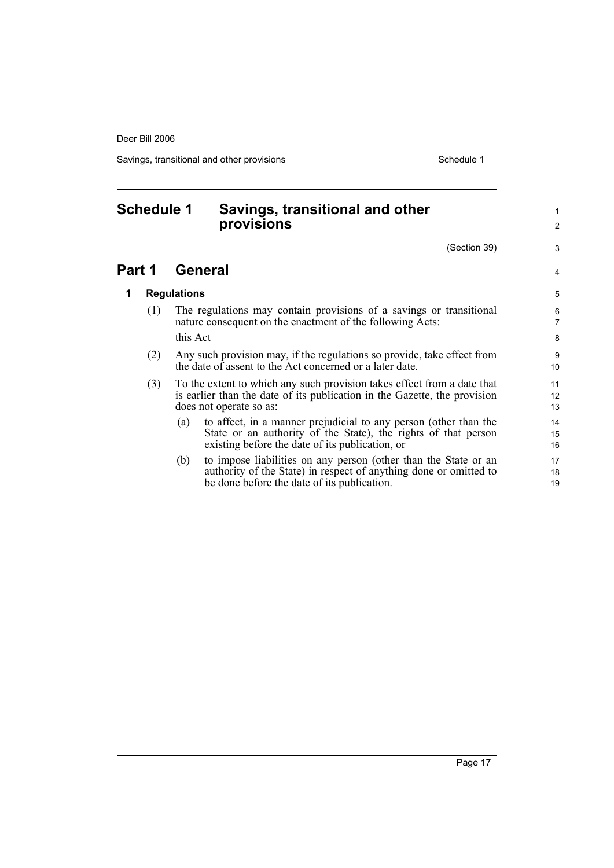Savings, transitional and other provisions Schedule 1

## <span id="page-22-0"></span>**Schedule 1 Savings, transitional and other provisions**

(Section 39)

| 3              |
|----------------|
| 4              |
| 5              |
| 6<br>7         |
| 8              |
| 9<br>10        |
| 11<br>12<br>13 |
| 14<br>15<br>16 |
| 17<br>18<br>19 |

1 2

### **Part 1 General**

### **1 Regulations**

- (1) The regulations may contain provisions of a savings or transitional nature consequent on the enactment of the following Acts: this Act
- (2) Any such provision may, if the regulations so provide, take effect from the date of assent to the Act concerned or a later date.
- (3) To the extent to which any such provision takes effect from a date that is earlier than the date of its publication in the Gazette, the provision does not operate so as:
	- (a) to affect, in a manner prejudicial to any person (other than the State or an authority of the State), the rights of that person existing before the date of its publication, or
	- (b) to impose liabilities on any person (other than the State or an authority of the State) in respect of anything done or omitted to be done before the date of its publication.